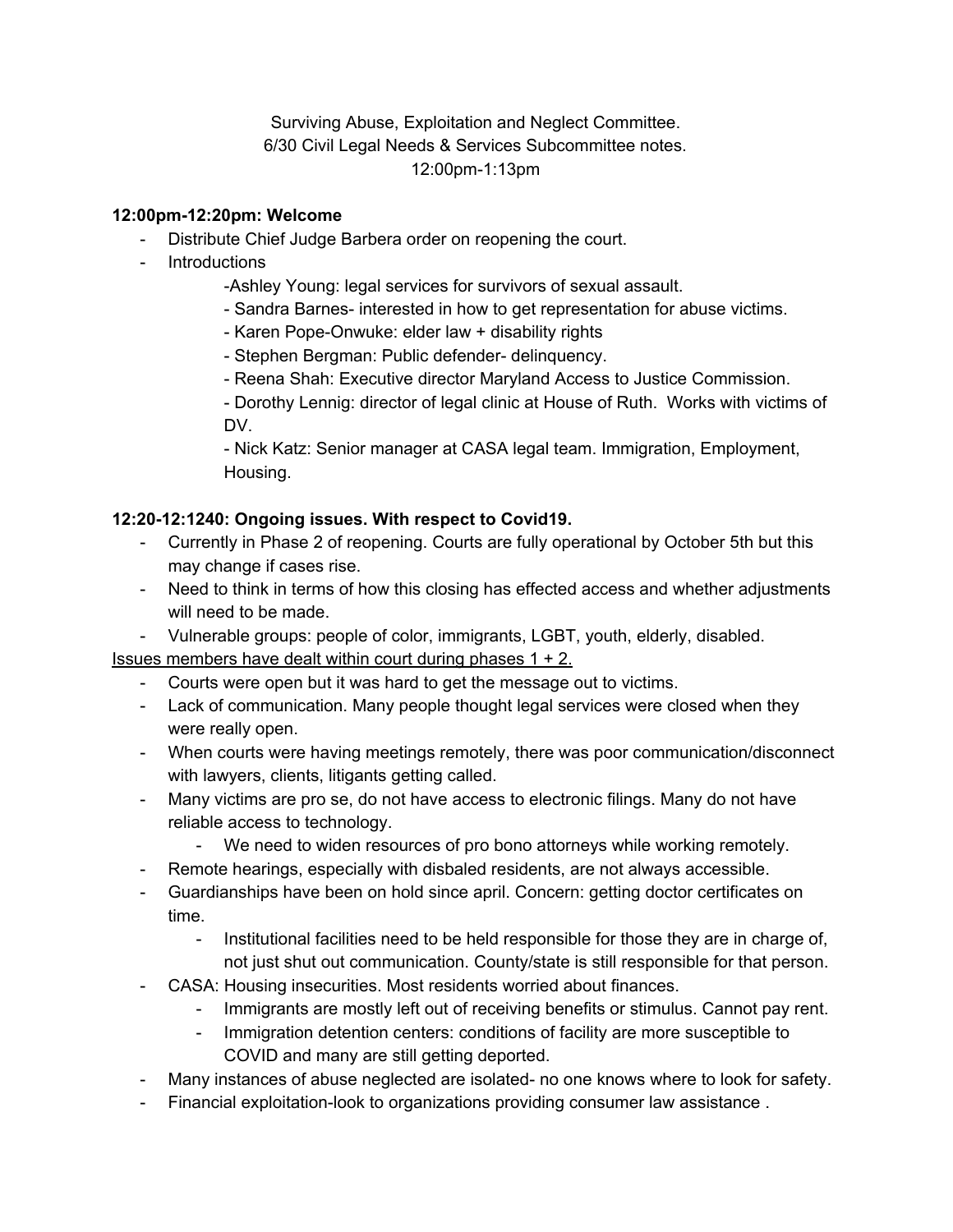Surviving Abuse, Exploitation and Neglect Committee. 6/30 Civil Legal Needs & Services Subcommittee notes. 12:00pm-1:13pm

## **12:00pm-12:20pm: Welcome**

- Distribute Chief Judge Barbera order on reopening the court.
- Introductions
	- -Ashley Young: legal services for survivors of sexual assault.
	- Sandra Barnes- interested in how to get representation for abuse victims.
	- Karen Pope-Onwuke: elder law + disability rights
	- Stephen Bergman: Public defender- delinquency.
	- Reena Shah: Executive director Maryland Access to Justice Commission.
	- Dorothy Lennig: director of legal clinic at House of Ruth. Works with victims of DV.

- Nick Katz: Senior manager at CASA legal team. Immigration, Employment, Housing.

## **12:20-12:1240: Ongoing issues. With respect to Covid19.**

- Currently in Phase 2 of reopening. Courts are fully operational by October 5th but this may change if cases rise.
- Need to think in terms of how this closing has effected access and whether adjustments will need to be made.
- Vulnerable groups: people of color, immigrants, LGBT, youth, elderly, disabled.

Issues members have dealt within court during phases  $1 + 2$ .

- Courts were open but it was hard to get the message out to victims.
- Lack of communication. Many people thought legal services were closed when they were really open.
- When courts were having meetings remotely, there was poor communication/disconnect with lawyers, clients, litigants getting called.
- Many victims are pro se, do not have access to electronic filings. Many do not have reliable access to technology.
	- We need to widen resources of pro bono attorneys while working remotely.
- Remote hearings, especially with disbaled residents, are not always accessible.
- Guardianships have been on hold since april. Concern: getting doctor certificates on time.
	- Institutional facilities need to be held responsible for those they are in charge of, not just shut out communication. County/state is still responsible for that person.
- CASA: Housing insecurities. Most residents worried about finances.
	- Immigrants are mostly left out of receiving benefits or stimulus. Cannot pay rent.
	- Immigration detention centers: conditions of facility are more susceptible to COVID and many are still getting deported.
- Many instances of abuse neglected are isolated- no one knows where to look for safety.
- Financial exploitation-look to organizations providing consumer law assistance .